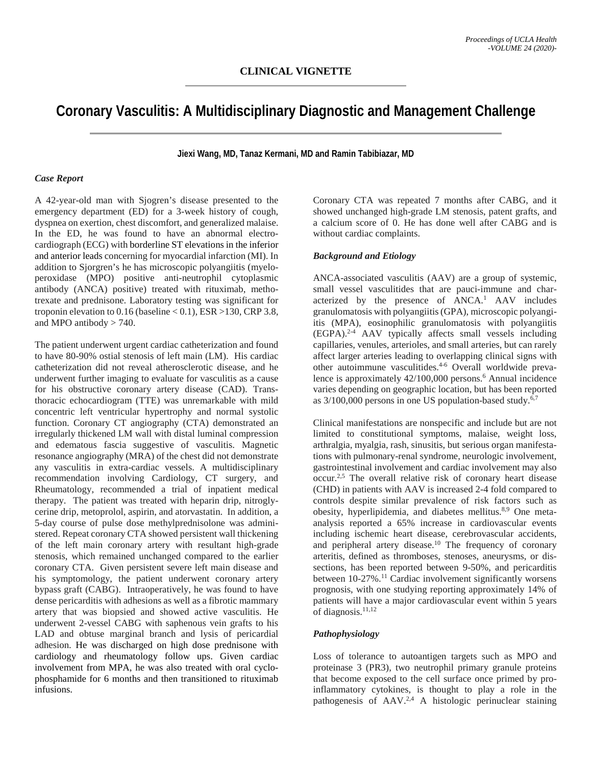# **Coronary Vasculitis: A Multidisciplinary Diagnostic and Management Challenge**

**Jiexi Wang, MD, Tanaz Kermani, MD and Ramin Tabibiazar, MD**

#### *Case Report*

A 42-year-old man with Sjogren's disease presented to the emergency department (ED) for a 3-week history of cough, dyspnea on exertion, chest discomfort, and generalized malaise. In the ED, he was found to have an abnormal electrocardiograph (ECG) with borderline ST elevations in the inferior and anterior leads concerning for myocardial infarction (MI). In addition to Sjorgren's he has microscopic polyangiitis (myeloperoxidase (MPO) positive anti-neutrophil cytoplasmic antibody (ANCA) positive) treated with rituximab, methotrexate and prednisone. Laboratory testing was significant for troponin elevation to  $0.16$  (baseline  $< 0.1$ ), ESR  $> 130$ , CRP 3.8, and MPO antibody > 740.

The patient underwent urgent cardiac catheterization and found to have 80-90% ostial stenosis of left main (LM). His cardiac catheterization did not reveal atherosclerotic disease, and he underwent further imaging to evaluate for vasculitis as a cause for his obstructive coronary artery disease (CAD). Transthoracic echocardiogram (TTE) was unremarkable with mild concentric left ventricular hypertrophy and normal systolic function. Coronary CT angiography (CTA) demonstrated an irregularly thickened LM wall with distal luminal compression and edematous fascia suggestive of vasculitis. Magnetic resonance angiography (MRA) of the chest did not demonstrate any vasculitis in extra-cardiac vessels. A multidisciplinary recommendation involving Cardiology, CT surgery, and Rheumatology, recommended a trial of inpatient medical therapy. The patient was treated with heparin drip, nitroglycerine drip, metoprolol, aspirin, and atorvastatin. In addition, a 5-day course of pulse dose methylprednisolone was administered. Repeat coronary CTA showed persistent wall thickening of the left main coronary artery with resultant high-grade stenosis, which remained unchanged compared to the earlier coronary CTA. Given persistent severe left main disease and his symptomology, the patient underwent coronary artery bypass graft (CABG). Intraoperatively, he was found to have dense pericarditis with adhesions as well as a fibrotic mammary artery that was biopsied and showed active vasculitis. He underwent 2-vessel CABG with saphenous vein grafts to his LAD and obtuse marginal branch and lysis of pericardial adhesion. He was discharged on high dose prednisone with cardiology and rheumatology follow ups. Given cardiac involvement from MPA, he was also treated with oral cyclophosphamide for 6 months and then transitioned to rituximab infusions.

Coronary CTA was repeated 7 months after CABG, and it showed unchanged high-grade LM stenosis, patent grafts, and a calcium score of 0. He has done well after CABG and is without cardiac complaints.

#### *Background and Etiology*

ANCA-associated vasculitis (AAV) are a group of systemic, small vessel vasculitides that are pauci-immune and characterized by the presence of ANCA. <sup>1</sup> AAV includes granulomatosis with polyangiitis (GPA), microscopic polyangiitis (MPA), eosinophilic granulomatosis with polyangiitis (EGPA).2-4 AAV typically affects small vessels including capillaries, venules, arterioles, and small arteries, but can rarely affect larger arteries leading to overlapping clinical signs with other autoimmune vasculitides.4-6 Overall worldwide prevalence is approximately 42/100,000 persons.<sup>6</sup> Annual incidence varies depending on geographic location, but has been reported as 3/100,000 persons in one US population-based study.<sup>6,7</sup>

Clinical manifestations are nonspecific and include but are not limited to constitutional symptoms, malaise, weight loss, arthralgia, myalgia, rash, sinusitis, but serious organ manifestations with pulmonary-renal syndrome, neurologic involvement, gastrointestinal involvement and cardiac involvement may also occur. 2,5 The overall relative risk of coronary heart disease (CHD) in patients with AAV is increased 2-4 fold compared to controls despite similar prevalence of risk factors such as obesity, hyperlipidemia, and diabetes mellitus.<sup>8,9</sup> One metaanalysis reported a 65% increase in cardiovascular events including ischemic heart disease, cerebrovascular accidents, and peripheral artery disease.<sup>10</sup> The frequency of coronary arteritis, defined as thromboses, stenoses, aneurysms, or dissections, has been reported between 9-50%, and pericarditis between 10-27%.<sup>11</sup> Cardiac involvement significantly worsens prognosis, with one studying reporting approximately 14% of patients will have a major cardiovascular event within 5 years of diagnosis. 11,12

## *Pathophysiology*

Loss of tolerance to autoantigen targets such as MPO and proteinase 3 (PR3), two neutrophil primary granule proteins that become exposed to the cell surface once primed by proinflammatory cytokines, is thought to play a role in the pathogenesis of AAV.<sup>2,4</sup> A histologic perinuclear staining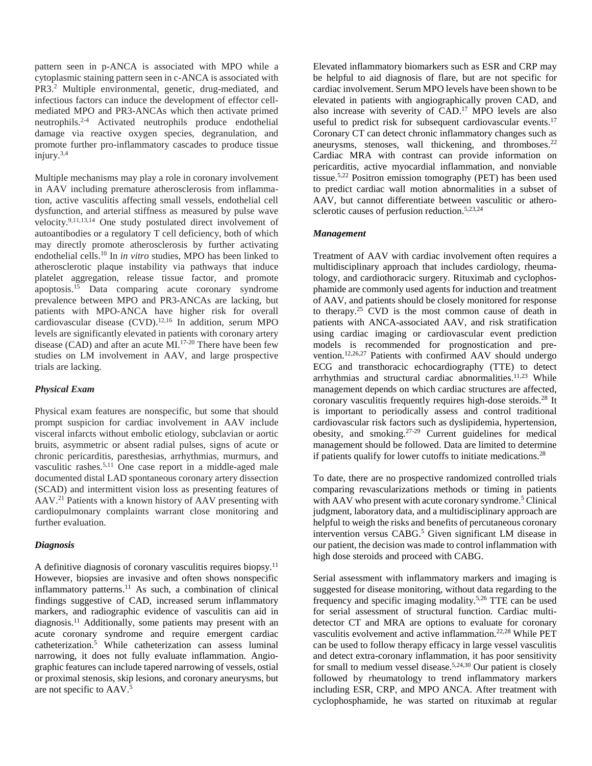pattern seen in p-ANCA is associated with MPO while a cytoplasmic staining pattern seen in c-ANCA is associated with PR3.2 Multiple environmental, genetic, drug-mediated, and infectious factors can induce the development of effector cellmediated MPO and PR3-ANCAs which then activate primed neutrophils.2-4 Activated neutrophils produce endothelial damage via reactive oxygen species, degranulation, and promote further pro-inflammatory cascades to produce tissue  $\frac{1}{2}$ injury.<sup>3,4</sup>

Multiple mechanisms may play a role in coronary involvement in AAV including premature atherosclerosis from inflammation, active vasculitis affecting small vessels, endothelial cell dysfunction, and arterial stiffness as measured by pulse wave velocity.9,11,13,14 One study postulated direct involvement of autoantibodies or a regulatory T cell deficiency, both of which may directly promote atherosclerosis by further activating endothelial cells.10 In *in vitro* studies, MPO has been linked to atherosclerotic plaque instability via pathways that induce platelet aggregation, release tissue factor, and promote apoptosis. <sup>15</sup> Data comparing acute coronary syndrome prevalence between MPO and PR3-ANCAs are lacking, but patients with MPO-ANCA have higher risk for overall cardiovascular disease (CVD).12,16 In addition, serum MPO levels are significantly elevated in patients with coronary artery disease (CAD) and after an acute  $\rm \dot{M}$ .<sup>17-20</sup> There have been few studies on LM involvement in AAV, and large prospective trials are lacking.

#### *Physical Exam*

Physical exam features are nonspecific, but some that should prompt suspicion for cardiac involvement in AAV include visceral infarcts without embolic etiology, subclavian or aortic bruits, asymmetric or absent radial pulses, signs of acute or chronic pericarditis, paresthesias, arrhythmias, murmurs, and vasculitic rashes.5,11 One case report in a middle-aged male documented distal LAD spontaneous coronary artery dissection (SCAD) and intermittent vision loss as presenting features of AAV.21 Patients with a known history of AAV presenting with cardiopulmonary complaints warrant close monitoring and further evaluation.

#### *Diagnosis*

A definitive diagnosis of coronary vasculitis requires biopsy.<sup>11</sup> However, biopsies are invasive and often shows nonspecific inflammatory patterns.11 As such, a combination of clinical findings suggestive of CAD, increased serum inflammatory markers, and radiographic evidence of vasculitis can aid in diagnosis.<sup>11</sup> Additionally, some patients may present with an acute coronary syndrome and require emergent cardiac catheterization.5 While catheterization can assess luminal narrowing, it does not fully evaluate inflammation. Angiographic features can include tapered narrowing of vessels, ostial or proximal stenosis, skip lesions, and coronary aneurysms, but are not specific to AAV.5

Elevated inflammatory biomarkers such as ESR and CRP may be helpful to aid diagnosis of flare, but are not specific for cardiac involvement. Serum MPO levels have been shown to be elevated in patients with angiographically proven CAD, and also increase with severity of CAD.17 MPO levels are also useful to predict risk for subsequent cardiovascular events.<sup>17</sup> Coronary CT can detect chronic inflammatory changes such as aneurysms, stenoses, wall thickening, and thromboses.<sup>22</sup> Cardiac MRA with contrast can provide information on pericarditis, active myocardial inflammation, and nonviable tissue.5,22 Positron emission tomography (PET) has been used to predict cardiac wall motion abnormalities in a subset of AAV, but cannot differentiate between vasculitic or atherosclerotic causes of perfusion reduction.5,23,24

#### *Management*

Treatment of AAV with cardiac involvement often requires a multidisciplinary approach that includes cardiology, rheumatology, and cardiothoracic surgery. Rituximab and cyclophosphamide are commonly used agents for induction and treatment of AAV, and patients should be closely monitored for response to therapy.<sup>25</sup> CVD is the most common cause of death in patients with ANCA-associated AAV, and risk stratification using cardiac imaging or cardiovascular event prediction models is recommended for prognostication and prevention.<sup>12,26,27</sup> Patients with confirmed AAV should undergo ECG and transthoracic echocardiography (TTE) to detect arrhythmias and structural cardiac abnormalities.<sup>11,23</sup> While management depends on which cardiac structures are affected, coronary vasculitis frequently requires high-dose steroids.28 It is important to periodically assess and control traditional cardiovascular risk factors such as dyslipidemia, hypertension, obesity, and smoking. 27-29 Current guidelines for medical management should be followed. Data are limited to determine if patients qualify for lower cutoffs to initiate medications.28

To date, there are no prospective randomized controlled trials comparing revascularizations methods or timing in patients with AAV who present with acute coronary syndrome.<sup>5</sup> Clinical judgment, laboratory data, and a multidisciplinary approach are helpful to weigh the risks and benefits of percutaneous coronary intervention versus CABG.<sup>5</sup> Given significant LM disease in our patient, the decision was made to control inflammation with high dose steroids and proceed with CABG.

Serial assessment with inflammatory markers and imaging is suggested for disease monitoring, without data regarding to the frequency and specific imaging modality.5,26 TTE can be used for serial assessment of structural function. Cardiac multidetector CT and MRA are options to evaluate for coronary vasculitis evolvement and active inflammation.22,28 While PET can be used to follow therapy efficacy in large vessel vasculitis and detect extra-coronary inflammation, it has poor sensitivity for small to medium vessel disease.5,24,30 Our patient is closely followed by rheumatology to trend inflammatory markers including ESR, CRP, and MPO ANCA. After treatment with cyclophosphamide, he was started on rituximab at regular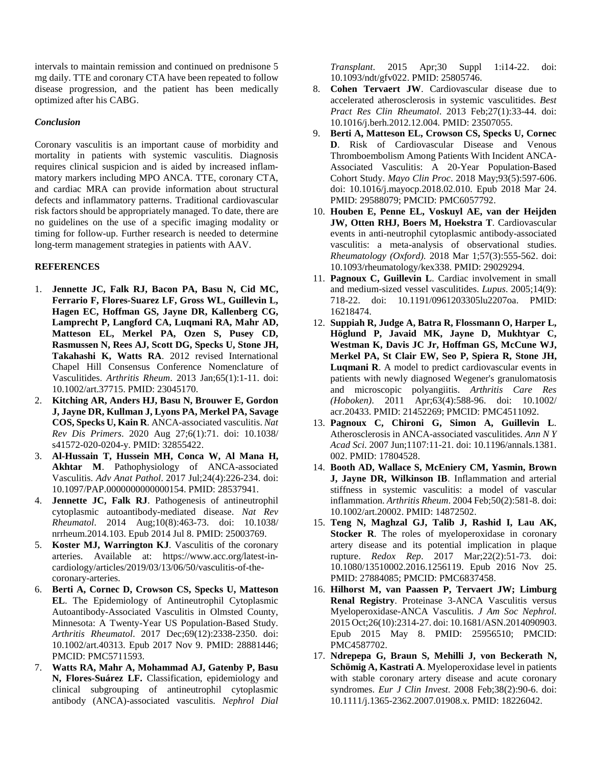intervals to maintain remission and continued on prednisone 5 mg daily. TTE and coronary CTA have been repeated to follow disease progression, and the patient has been medically optimized after his CABG.

### *Conclusion*

Coronary vasculitis is an important cause of morbidity and mortality in patients with systemic vasculitis. Diagnosis requires clinical suspicion and is aided by increased inflammatory markers including MPO ANCA. TTE, coronary CTA, and cardiac MRA can provide information about structural defects and inflammatory patterns. Traditional cardiovascular risk factors should be appropriately managed. To date, there are no guidelines on the use of a specific imaging modality or timing for follow-up. Further research is needed to determine long-term management strategies in patients with AAV.

## **REFERENCES**

- 1. **Jennette JC, Falk RJ, Bacon PA, Basu N, Cid MC, Ferrario F, Flores-Suarez LF, Gross WL, Guillevin L, Hagen EC, Hoffman GS, Jayne DR, Kallenberg CG, Lamprecht P, Langford CA, Luqmani RA, Mahr AD, Matteson EL, Merkel PA, Ozen S, Pusey CD, Rasmussen N, Rees AJ, Scott DG, Specks U, Stone JH, Takahashi K, Watts RA**. 2012 revised International Chapel Hill Consensus Conference Nomenclature of Vasculitides. *Arthritis Rheum*. 2013 Jan;65(1):1-11. doi: 10.1002/art.37715. PMID: 23045170.
- 2. **Kitching AR, Anders HJ, Basu N, Brouwer E, Gordon J, Jayne DR, Kullman J, Lyons PA, Merkel PA, Savage COS, Specks U, Kain R**. ANCA-associated vasculitis. *Nat Rev Dis Primers*. 2020 Aug 27;6(1):71. doi: 10.1038/ s41572-020-0204-y. PMID: 32855422.
- 3. **Al-Hussain T, Hussein MH, Conca W, Al Mana H, Akhtar M**. Pathophysiology of ANCA-associated Vasculitis. *Adv Anat Pathol*. 2017 Jul;24(4):226-234. doi: 10.1097/PAP.0000000000000154. PMID: 28537941.
- 4. **Jennette JC, Falk RJ**. Pathogenesis of antineutrophil cytoplasmic autoantibody-mediated disease. *Nat Rev Rheumatol*. 2014 Aug;10(8):463-73. doi: 10.1038/ nrrheum.2014.103. Epub 2014 Jul 8. PMID: 25003769.
- 5. **Koster MJ, Warrington KJ**. Vasculitis of the coronary arteries. Available at: https://www.acc.org/latest-incardiology/articles/2019/03/13/06/50/vasculitis-of-thecoronary-arteries.
- 6. **Berti A, Cornec D, Crowson CS, Specks U, Matteson EL**. The Epidemiology of Antineutrophil Cytoplasmic Autoantibody-Associated Vasculitis in Olmsted County, Minnesota: A Twenty-Year US Population-Based Study. *Arthritis Rheumatol*. 2017 Dec;69(12):2338-2350. doi: 10.1002/art.40313. Epub 2017 Nov 9. PMID: 28881446; PMCID: PMC5711593.
- 7. **Watts RA, Mahr A, Mohammad AJ, Gatenby P, Basu N, Flores-Suárez LF.** Classification, epidemiology and clinical subgrouping of antineutrophil cytoplasmic antibody (ANCA)-associated vasculitis. *Nephrol Dial*

*Transplant*. 2015 Apr;30 Suppl 1:i14-22. doi: 10.1093/ndt/gfv022. PMID: 25805746.

- 8. **Cohen Tervaert JW**. Cardiovascular disease due to accelerated atherosclerosis in systemic vasculitides. *Best Pract Res Clin Rheumatol*. 2013 Feb;27(1):33-44. doi: 10.1016/j.berh.2012.12.004. PMID: 23507055.
- 9. **Berti A, Matteson EL, Crowson CS, Specks U, Cornec D**. Risk of Cardiovascular Disease and Venous Thromboembolism Among Patients With Incident ANCA-Associated Vasculitis: A 20-Year Population-Based Cohort Study. *Mayo Clin Proc*. 2018 May;93(5):597-606. doi: 10.1016/j.mayocp.2018.02.010. Epub 2018 Mar 24. PMID: 29588079; PMCID: PMC6057792.
- 10. **Houben E, Penne EL, Voskuyl AE, van der Heijden JW, Otten RHJ, Boers M, Hoekstra T**. Cardiovascular events in anti-neutrophil cytoplasmic antibody-associated vasculitis: a meta-analysis of observational studies. *Rheumatology (Oxford)*. 2018 Mar 1;57(3):555-562. doi: 10.1093/rheumatology/kex338. PMID: 29029294.
- 11. **Pagnoux C, Guillevin L**. Cardiac involvement in small and medium-sized vessel vasculitides. *Lupus*. 2005;14(9): 718-22. doi: 10.1191/0961203305lu2207oa. PMID: 16218474.
- 12. **Suppiah R, Judge A, Batra R, Flossmann O, Harper L, Höglund P, Javaid MK, Jayne D, Mukhtyar C, Westman K, Davis JC Jr, Hoffman GS, McCune WJ, Merkel PA, St Clair EW, Seo P, Spiera R, Stone JH, Luqmani R**. A model to predict cardiovascular events in patients with newly diagnosed Wegener's granulomatosis and microscopic polyangiitis. *Arthritis Care Res (Hoboken)*. 2011 Apr;63(4):588-96. doi: 10.1002/ acr.20433. PMID: 21452269; PMCID: PMC4511092.
- 13. **Pagnoux C, Chironi G, Simon A, Guillevin L**. Atherosclerosis in ANCA-associated vasculitides. *Ann N Y Acad Sci*. 2007 Jun;1107:11-21. doi: 10.1196/annals.1381. 002. PMID: 17804528.
- 14. **Booth AD, Wallace S, McEniery CM, Yasmin, Brown J, Jayne DR, Wilkinson IB**. Inflammation and arterial stiffness in systemic vasculitis: a model of vascular inflammation. *Arthritis Rheum*. 2004 Feb;50(2):581-8. doi: 10.1002/art.20002. PMID: 14872502.
- 15. **Teng N, Maghzal GJ, Talib J, Rashid I, Lau AK, Stocker R**. The roles of myeloperoxidase in coronary artery disease and its potential implication in plaque rupture. *Redox Rep*. 2017 Mar;22(2):51-73. doi: 10.1080/13510002.2016.1256119. Epub 2016 Nov 25. PMID: 27884085; PMCID: PMC6837458.
- 16. **Hilhorst M, van Paassen P, Tervaert JW; Limburg Renal Registry**. Proteinase 3-ANCA Vasculitis versus Myeloperoxidase-ANCA Vasculitis. *J Am Soc Nephrol*. 2015 Oct;26(10):2314-27. doi: 10.1681/ASN.2014090903. Epub 2015 May 8. PMID: 25956510; PMCID: PMC4587702.
- 17. **Ndrepepa G, Braun S, Mehilli J, von Beckerath N, Schömig A, Kastrati A**. Myeloperoxidase level in patients with stable coronary artery disease and acute coronary syndromes. *Eur J Clin Invest*. 2008 Feb;38(2):90-6. doi: 10.1111/j.1365-2362.2007.01908.x. PMID: 18226042.